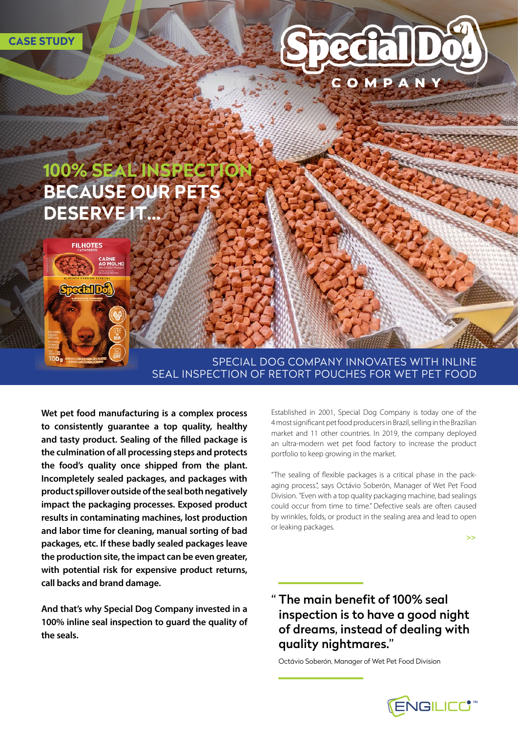

## SPECIAL DOG COMPANY INNOVATES WITH INLINE SEAL INSPECTION OF RETORT POUCHES FOR WET PET FOOD

**Wet pet food manufacturing is a complex process to consistently guarantee a top quality, healthy and tasty product. Sealing of the filled package is the culmination of all processing steps and protects the food's quality once shipped from the plant. Incompletely sealed packages, and packages with product spillover outside of the seal both negatively impact the packaging processes. Exposed product results in contaminating machines, lost production and labor time for cleaning, manual sorting of bad packages, etc. If these badly sealed packages leave the production site, the impact can be even greater, with potential risk for expensive product returns, call backs and brand damage.** 

**And that's why Special Dog Company invested in a 100% inline seal inspection to guard the quality of the seals.**

Established in 2001, Special Dog Company is today one of the 4 most significant pet food producers in Brazil, selling in the Brazilian market and 11 other countries. In 2019, the company deployed an ultra-modern wet pet food factory to increase the product portfolio to keep growing in the market.

"The sealing of flexible packages is a critical phase in the packaging process.", says Octávio Soberón, Manager of Wet Pet Food Division. "Even with a top quality packaging machine, bad sealings could occur from time to time." Defective seals are often caused by wrinkles, folds, or product in the sealing area and lead to open or leaking packages.

**>>**

# " The main benefit of 100% seal inspection is to have a good night of dreams, instead of dealing with quality nightmares."

Octávio Soberón, Manager of Wet Pet Food Division

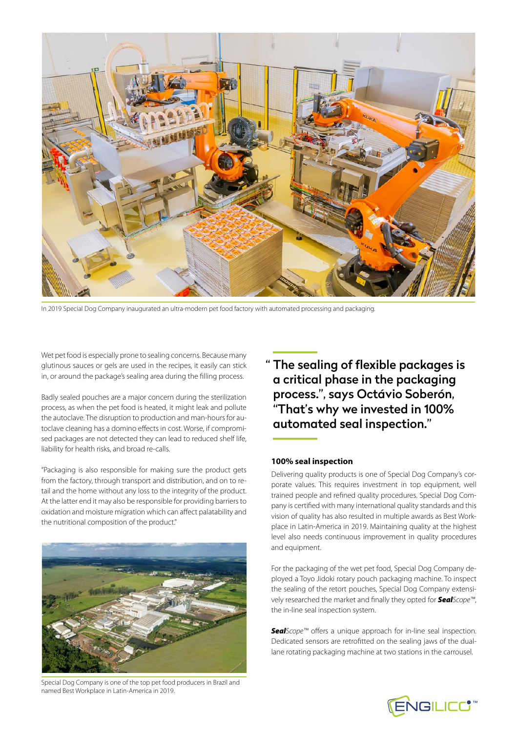

In 2019 Special Dog Company inaugurated an ultra-modern pet food factory with automated processing and packaging.

Wet pet food is especially prone to sealing concerns. Because many glutinous sauces or gels are used in the recipes, it easily can stick in, or around the package's sealing area during the filling process.

Badly sealed pouches are a major concern during the sterilization process, as when the pet food is heated, it might leak and pollute the autoclave. The disruption to production and man-hours for autoclave cleaning has a domino effects in cost. Worse, if compromised packages are not detected they can lead to reduced shelf life, liability for health risks, and broad re-calls.

"Packaging is also responsible for making sure the product gets from the factory, through transport and distribution, and on to retail and the home without any loss to the integrity of the product. At the latter end it may also be responsible for providing barriers to oxidation and moisture migration which can affect palatability and the nutritional composition of the product."



Special Dog Company is one of the top pet food producers in Brazil and named Best Workplace in Latin-America in 2019.

" The sealing of flexible packages is a critical phase in the packaging process.", says Octávio Soberón, "That's why we invested in 100% automated seal inspection."

#### **100% seal inspection**

Delivering quality products is one of Special Dog Company's corporate values. This requires investment in top equipment, well trained people and refined quality procedures. Special Dog Company is certified with many international quality standards and this vision of quality has also resulted in multiple awards as Best Workplace in Latin-America in 2019. Maintaining quality at the highest level also needs continuous improvement in quality procedures and equipment.

For the packaging of the wet pet food, Special Dog Company deployed a Toyo Jidoki rotary pouch packaging machine. To inspect the sealing of the retort pouches, Special Dog Company extensively researched the market and finally they opted for *SealScope™*, the in-line seal inspection system.

*SealScope™* offers a unique approach for in-line seal inspection. Dedicated sensors are retrofitted on the sealing jaws of the duallane rotating packaging machine at two stations in the carrousel.